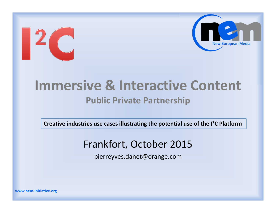

#### **Immersive & Interactive Content Public Private Partnership**

**Creative industries use cases illustrating the potential use of the I²C Platform**

#### Frankfort, October 2015

pierreyves.danet@orange.com

**www.nem-initiative.org**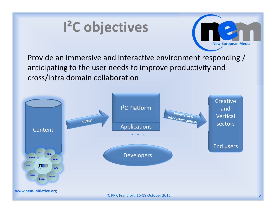# **I²C objectives**



Provide an Immersive and interactive environment responding / anticipating to the user needs to improve productivity and cross/intra domain collaboration

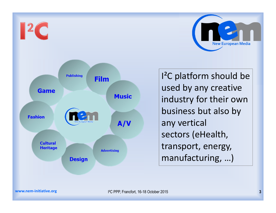

I²C platform should be used by any creative industry for their own business but also by any vertical sectors (eHealth, transport, energy, manufacturing, …)

**New European Media**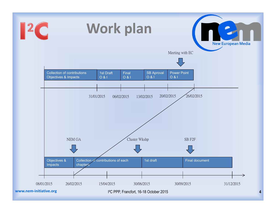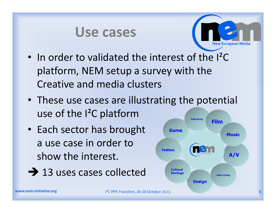#### **Use cases**



- In order to validated the interest of the I<sup>2</sup>C platform, NEM setup a survey with the Creative and media clusters
- These use cases are illustrating the potential use of the I²C platform
- Each sector has brought a use case in order to show the interest.
- $\rightarrow$  13 uses cases collected

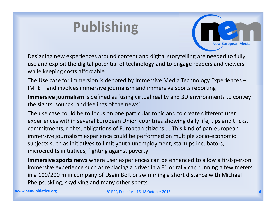# **Publishing**



Designing new experiences around content and digital storytelling are needed to fully use and exploit the digital potential of technology and to engage readers and viewers while keeping costs affordable

The Use case for immersion is denoted by Immersive Media Technology Experiences – IMTE – and involves immersive journalism and immersive sports reporting

**Immersive journalism** is defined as 'using virtual reality and 3D environments to convey the sights, sounds, and feelings of the news'

The use case could be to focus on one particular topic and to create different user experiences within several European Union countries showing daily life, tips and tricks, commitments, rights, obligations of European citizens.... This kind of pan-european immersive journalism experience could be performed on multiple socio-economic subjects such as initiatives to limit youth unemployment, startups incubators, microcredits initiatives, fighting against poverty

**Immersive sports news** where user experiences can be enhanced to allow a first-person immersive experience such as replacing a driver in a F1 or rally car, running a few meters in a 100/200 m in company of Usain Bolt or swimming a short distance with Michael Phelps, skiing, skydiving and many other sports.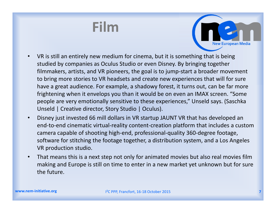#### **Film**



- VR is still an entirely new medium for cinema, but it is something that is being studied by companies as Oculus Studio or even Disney. By bringing together filmmakers, artists, and VR pioneers, the goal is to jump-start a broader movement to bring more stories to VR headsets and create new experiences that will for sure have a great audience. For example, a shadowy forest, it turns out, can be far more frightening when it envelops you than it would be on even an IMAX screen. "Some people are very emotionally sensitive to these experiences," Unseld says. (Saschka Unseld | Creative director, Story Studio | Oculus).
- Disney just invested 66 mill dollars in VR startup JAUNT VR that has developed an end-to-end cinematic virtual-reality content-creation platform that includes a custom camera capable of shooting high-end, professional-quality 360-degree footage, software for stitching the footage together, a distribution system, and a Los Angeles VR production studio.
- That means this is a next step not only for animated movies but also real movies film making and Europe is still on time to enter in a new market yet unknown but for sure the future.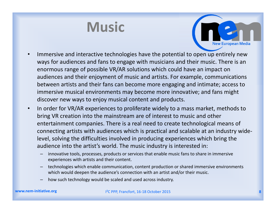#### **Music**



- Immersive and interactive technologies have the potential to open up entirely new ways for audiences and fans to engage with musicians and their music. There is an enormous range of possible VR/AR solutions which could have an impact on audiences and their enjoyment of music and artists. For example, communications between artists and their fans can become more engaging and intimate; access to immersive musical environments may become more innovative; and fans might discover new ways to enjoy musical content and products.
- In order for VR/AR experiences to proliferate widely to a mass market, methods to bring VR creation into the mainstream are of interest to music and other entertainment companies. There is a real need to create technological means of connecting artists with audiences which is practical and scalable at an industry widelevel, solving the difficulties involved in producing experiences which bring the audience into the artist's world. The music industry is interested in:
	- innovative tools, processes, products or services that enable music fans to share in immersive experiences with artists and their content.
	- technologies which enable communication, content production or shared immersive environments which would deepen the audience's connection with an artist and/or their music.
	- how such technology would be scaled and used across industry.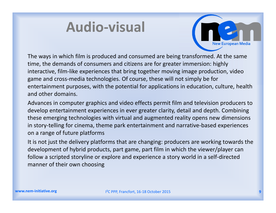# **Audio-visual**



The ways in which film is produced and consumed are being transformed. At the same time, the demands of consumers and citizens are for greater immersion: highly interactive, film-like experiences that bring together moving image production, video game and cross-media technologies. Of course, these will not simply be for entertainment purposes, with the potential for applications in education, culture, health and other domains.

Advances in computer graphics and video effects permit film and television producers to develop entertainment experiences in ever greater clarity, detail and depth. Combining these emerging technologies with virtual and augmented reality opens new dimensions in story-telling for cinema, theme park entertainment and narrative-based experiences on a range of future platforms

It is not just the delivery platforms that are changing: producers are working towards the development of hybrid products, part game, part film in which the viewer/player can follow a scripted storyline or explore and experience a story world in a self-directed manner of their own choosing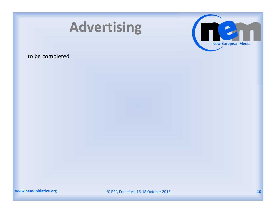



#### to be completed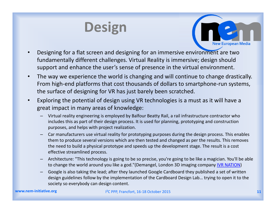# **Design**



- Designing for a flat screen and designing for an immersive environment are two fundamentally different challenges. Virtual Reality is immersive; design should support and enhance the user's sense of presence in the virtual environment.
- The way we experience the world is changing and will continue to change drastically. From high-end platforms that cost thousands of dollars to smartphone-run systems, the surface of designing for VR has just barely been scratched.
- Exploring the potential of design using VR technologies is a must as it will have a great impact in many areas of knowledge:
	- Virtual reality engineering is employed by Balfour Beatty Rail, a rail infrastructure contractor who includes this as part of their design process. It is used for planning, prototyping and construction purposes, and helps with project realization.
	- Car manufacturers use virtual reality for prototyping purposes during the design process. This enables them to produce several versions which are then tested and changed as per the results. This removes the need to build a physical prototype and speeds up the development stage. The result is a cost effective streamlined process.
	- Architecture: "This technology is going to be so precise, you're going to be like a magician. You'll be able to change the world around you like a god."(Demangel, London 3D imaging company IVR NATION)
	- Google is also taking the lead; after they launched Google Cardboard they published a set of written design guidelines follow by the implementation of the Cardboard Design Lab… trying to open it to the society so everybody can design content.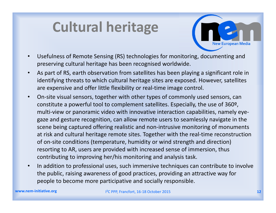# **Cultural heritage**



- Usefulness of Remote Sensing (RS) technologies for monitoring, documenting and preserving cultural heritage has been recognised worldwide.
- As part of RS, earth observation from satellites has been playing a significant role in identifying threats to which cultural heritage sites are exposed. However, satellites are expensive and offer little flexibility or real-time image control.
- On-site visual sensors, together with other types of commonly used sensors, can constitute a powerful tool to complement satellites. Especially, the use of 360º, multi-view or panoramic video with innovative interaction capabilities, namely eyegaze and gesture recognition, can allow remote users to seamlessly navigate in the scene being captured offering realistic and non-intrusive monitoring of monuments at risk and cultural heritage remote sites. Together with the real-time reconstruction of on-site conditions (temperature, humidity or wind strength and direction) resorting to AR, users are provided with increased sense of immersion, thus contributing to improving her/his monitoring and analysis task.
- In addition to professional uses, such immersive techniques can contribute to involve the public, raising awareness of good practices, providing an attractive way for people to become more participative and socially responsible.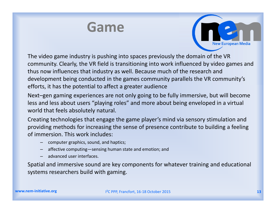#### **Game**



The video game industry is pushing into spaces previously the domain of the VR community. Clearly, the VR field is transitioning into work influenced by video games and thus now influences that industry as well. Because much of the research and development being conducted in the games community parallels the VR community's efforts, it has the potential to affect a greater audience

Next–gen gaming experiences are not only going to be fully immersive, but will become less and less about users "playing roles" and more about being enveloped in a virtual world that feels absolutely natural.

Creating technologies that engage the game player's mind via sensory stimulation and providing methods for increasing the sense of presence contribute to building a feeling of immersion. This work includes:

- computer graphics, sound, and haptics;
- affective computing—sensing human state and emotion; and
- advanced user interfaces.

Spatial and immersive sound are key components for whatever training and educational systems researchers build with gaming.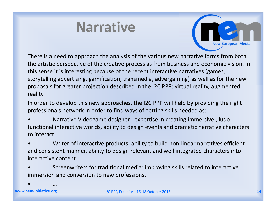#### **Narrative**



There is a need to approach the analysis of the various new narrative forms from both the artistic perspective of the creative process as from business and economic vision. In this sense it is interesting because of the recent interactive narratives (games, storytelling advertising, gamification, transmedia, advergaming) as well as for the new proposals for greater projection described in the I2C PPP: virtual reality, augmented reality

In order to develop this new approaches, the I2C PPP will help by providing the right professionals network in order to find ways of getting skills needed as:

- Narrative Videogame designer : expertise in creating immersive , ludofunctional interactive worlds, ability to design events and dramatic narrative characters to interact
- Writer of interactive products: ability to build non-linear narratives efficient and consistent manner, ability to design relevant and well integrated characters into interactive content.
- Screenwriters for traditional media: improving skills related to interactive immersion and conversion to new professions.

**www.nem-initiative.org**

• …

I²C PPP, Francfort, 16-18 October 2015 **14**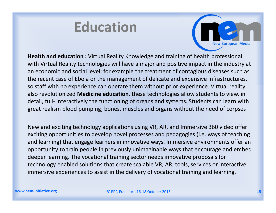#### **Education**



**Health and education :** Virtual Reality Knowledge and training of health professional with Virtual Reality technologies will have a major and positive impact in the industry at an economic and social level; for example the treatment of contagious diseases such as the recent case of Ebola or the management of delicate and expensive infrastructures, so staff with no experience can operate them without prior experience. Virtual reality also revolutionized **Medicine education**, these technologies allow students to view, in detail, full- interactively the functioning of organs and systems. Students can learn with great realism blood pumping, bones, muscles and organs without the need of corpses

New and exciting technology applications using VR, AR, and Immersive 360 video offer exciting opportunities to develop novel processes and pedagogies (i.e. ways of teaching and learning) that engage learners in innovative ways. Immersive environments offer an opportunity to train people in previously unimaginable ways that encourage and embed deeper learning. The vocational training sector needs innovative proposals for technology enabled solutions that create scalable VR, AR, tools, services or interactive immersive experiences to assist in the delivery of vocational training and learning.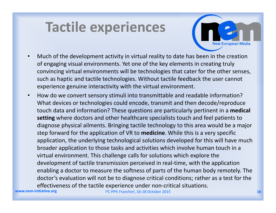#### **Tactile experiences**

- **New European Media**
- Much of the development activity in virtual reality to date has been in the creation of engaging visual environments. Yet one of the key elements in creating truly convincing virtual environments will be technologies that cater for the other senses, such as haptic and tactile technologies. Without tactile feedback the user cannot experience genuine interactivity with the virtual environment.
- How do we convert sensory stimuli into transmittable and readable information? What devices or technologies could encode, transmit and then decode/reproduce touch data and information? These questions are particularly pertinent in a **medical setting** where doctors and other healthcare specialists touch and feel patients to diagnose physical ailments. Bringing tactile technology to this area would be a major step forward for the application of VR to **medicine**. While this is a very specific application, the underlying technological solutions developed for this will have much broader application to those tasks and activities which involve human touch in a virtual environment. This challenge calls for solutions which explore the development of tactile transmission perceived in real-time, with the application enabling a doctor to measure the softness of parts of the human body remotely. The doctor's evaluation will not be to diagnose critical conditions; rather as a test for the effectiveness of the tactile experience under non-critical situations.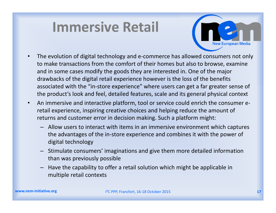# **Immersive Retail**



- The evolution of digital technology and e-commerce has allowed consumers not only to make transactions from the comfort of their homes but also to browse, examine and in some cases modify the goods they are interested in. One of the major drawbacks of the digital retail experience however is the loss of the benefits associated with the "in-store experience" where users can get a far greater sense of the product's look and feel, detailed features, scale and its general physical context
- An immersive and interactive platform, tool or service could enrich the consumer eretail experience, inspiring creative choices and helping reduce the amount of returns and customer error in decision making. Such a platform might:
	- Allow users to interact with items in an immersive environment which captures the advantages of the in-store experience and combines it with the power of digital technology
	- Stimulate consumers' imaginations and give them more detailed information than was previously possible
	- Have the capability to offer a retail solution which might be applicable in multiple retail contexts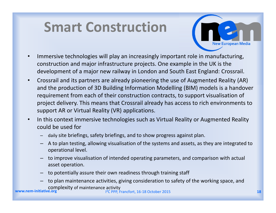# **Smart Construction**



- Immersive technologies will play an increasingly important role in manufacturing, construction and major infrastructure projects. One example in the UK is the development of a major new railway in London and South East England: Crossrail.
- Crossrail and its partners are already pioneering the use of Augmented Reality (AR) and the production of 3D Building Information Modelling (BIM) models is a handover requirement from each of their construction contracts, to support visualisation of project delivery. This means that Crossrail already has access to rich environments to support AR or Virtual Reality (VR) applications.
- In this context immersive technologies such as Virtual Reality or Augmented Reality could be used for
	- daily site briefings, safety briefings, and to show progress against plan.
	- A to plan testing, allowing visualisation of the systems and assets, as they are integrated to operational level.
	- to improve visualisation of intended operating parameters, and comparison with actual asset operation.
	- to potentially assure their own readiness through training staff
	- to plan maintenance activities, giving consideration to safety of the working space, and complexity of maintenance activity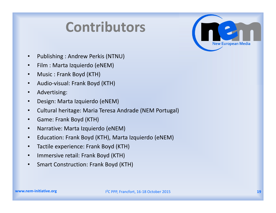#### **Contributors**



- Publishing : Andrew Perkis (NTNU)
- Film : Marta Izquierdo (eNEM)
- Music : Frank Boyd (KTH)
- Audio-visual: Frank Boyd (KTH)
- Advertising:
- Design: Marta Izquierdo (eNEM)
- Cultural heritage: Maria Teresa Andrade (NEM Portugal)
- Game: Frank Boyd (KTH)
- Narrative: Marta Izquierdo (eNEM)
- Education: Frank Boyd (KTH), Marta Izquierdo (eNEM)
- Tactile experience: Frank Boyd (KTH)
- Immersive retail: Frank Boyd (KTH)
- Smart Construction: Frank Boyd (KTH)